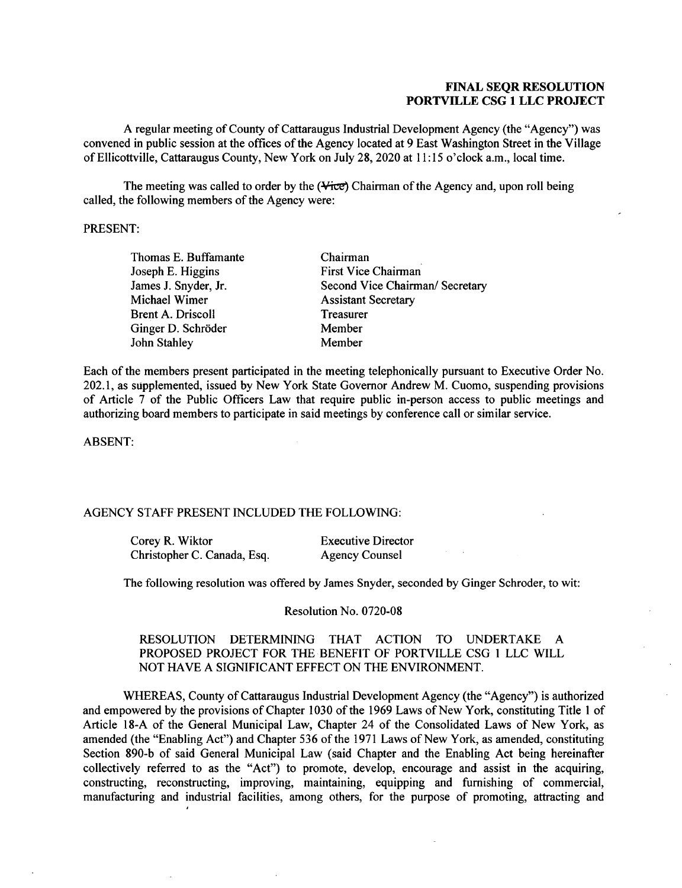## **FINAL SEQR RESOLUTION PORTVILLE CSG 1 LLC PROJECT**

A regular meeting of County of Cattaraugus Industrial Development Agency (the "Agency") was convened in public session at the offices of the Agency located at 9 East Washington Street in the Village of Ellicottville, Cattaraugus County, New York on July 28, 2020 at 11: 15 o'clock a.m., local time.

The meeting was called to order by the  $(\forall$ ice) Chairman of the Agency and, upon roll being called, the following members of the Agency were:

## PRESENT:

Thomas E. Buffamante Joseph E. Higgins James J. Snyder, Jr. Michael Wimer Brent A. Driscoll Ginger D. Schröder John Stahley

Chairman First Vice Chairman Second Vice Chairman/ Secretary Assistant Secretary **Treasurer** Member Member

Each of the members present participated in the meeting telephonically pursuant to Executive Order No. 202.1, as supplemented, issued by New York State Governor Andrew M. Cuomo, suspending provisions of Article 7 of the Public Officers Law that require public in-person access to public meetings and authorizing board members to participate in said meetings by conference call or similar service.

ABSENT:

### AGENCY STAFF PRESENT INCLUDED THE FOLLOWING:

| Corey R. Wiktor             | <b>Executive Director</b> |
|-----------------------------|---------------------------|
| Christopher C. Canada, Esq. | <b>Agency Counsel</b>     |

The following resolution was offered by James Snyder, seconded by Ginger Schroder, to wit:

Resolution No. 0720-08

## RESOLUTION DETERMINING THAT ACTION TO UNDERTAKE A PROPOSED PROJECT FOR THE BENEFIT OF PORTVILLE CSG 1 LLC WILL NOT HAVE A SIGNIFICANT EFFECT ON THE ENVIRONMENT.

WHEREAS, County of Cattaraugus Industrial Development Agency (the "Agency") is authorized and empowered by the provisions of Chapter 1030 of the 1969 Laws of New York, constituting Title 1 of Article 18-A of the General Municipal Law, Chapter 24 of the Consolidated Laws of New York, as amended (the "Enabling Act") and Chapter 536 of the 1971 Laws of New York, as amended, constituting Section 890-b of said General Municipal Law (said Chapter and the Enabling Act being hereinafter collectively referred to as the "Act") to promote, develop, encourage and assist in the acquiring, constructing, reconstructing, improving, maintaining, equipping and furnishing of commercial, manufacturing and industrial facilities, among others, for the purpose of promoting, attracting and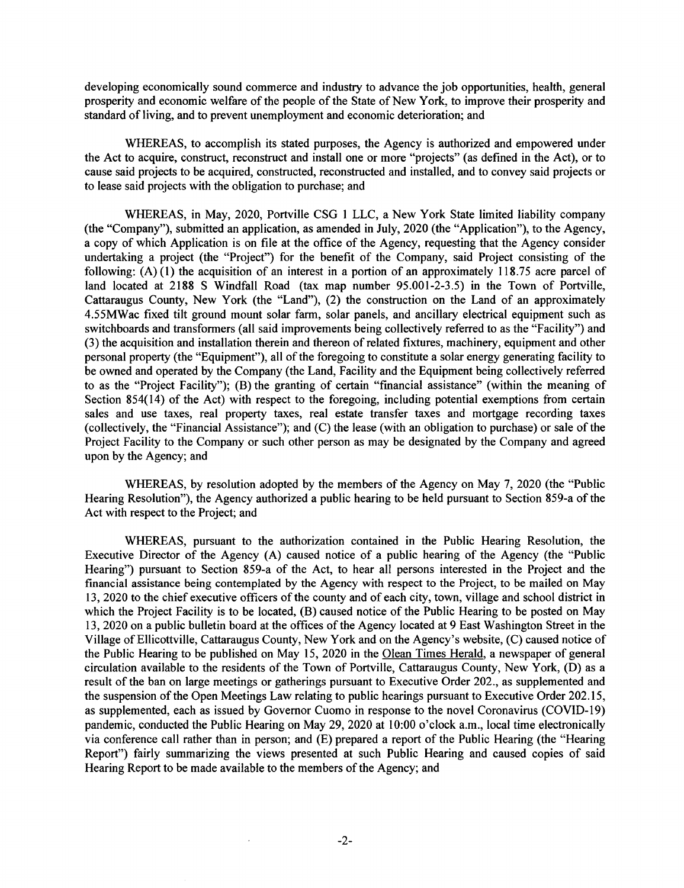developing economically sound commerce and industry to advance the job opportunities, health, general prosperity and economic welfare of the people of the State of New York, to improve their prosperity and standard of living, and to prevent unemployment and economic deterioration; and

WHEREAS, to accomplish its stated purposes, the Agency is authorized and empowered under the Act to acquire, construct, reconstruct and install one or more "projects" (as defined in the Act), or to cause said projects to be acquired, constructed, reconstructed and installed, and to convey said projects or to lease said projects with the obligation to purchase; and

WHEREAS, in May, 2020, Portville CSG l LLC, a New York State limited liability company (the "Company"), submitted an application, as amended in July, 2020 (the "Application"), to the Agency, a copy of which Application is on file at the office of the Agency, requesting that the Agency consider undertaking a project (the "Project") for the benefit of the Company, said Project consisting of the following: (A) (1) the acquisition of an interest in a portion of an approximately 118.75 acre parcel of land located at 2188 S Windfall Road (tax map number 95.001-2-3.5) in the Town of Portville, Cattaraugus County, New York (the "Land"), (2) the construction on the Land of an approximately 4.55MWac fixed tilt ground mount solar farm, solar panels, and ancillary electrical equipment such as switchboards and transformers (all said improvements being collectively referred to as the "Facility") and (3) the acquisition and installation therein and thereon of related fixtures, machinery, equipment and other personal property (the "Equipment"), all of the foregoing to constitute a solar energy generating facility to be owned and operated by the Company (the Land, Facility and the Equipment being collectively referred to as the "Project Facility"); (B) the granting of certain "financial assistance" (within the meaning of Section 854(14) of the Act) with respect to the foregoing, including potential exemptions from certain sales and use taxes, real property taxes, real estate transfer taxes and mortgage recording taxes (collectively, the "Financial Assistance"); and (C) the lease (with an obligation to purchase) or sale of the Project Facility to the Company or such other person as may be designated by the Company and agreed upon by the Agency; and

WHEREAS, by resolution adopted by the members of the Agency on May 7, 2020 (the "Public Hearing Resolution"), the Agency authorized a public hearing to be held pursuant to Section 859-a of the Act with respect to the Project; and

WHEREAS, pursuant to the authorization contained in the Public Hearing Resolution, the Executive Director of the Agency (A} caused notice of a public hearing of the Agency (the "Public Hearing") pursuant to Section 859-a of the Act, to hear all persons interested in the Project and the financial assistance being contemplated by the Agency with respect to the Project, to be mailed on May 13, 2020 to the chief executive officers of the county and of each city, town, village and school district in which the Project Facility is to be located, (B) caused notice of the Public Hearing to be posted on May 13, 2020 on a public bulletin board at the offices of the Agency located at 9 East Washington Street in the Village of Ellicottville, Cattaraugus County, New York and on the Agency's website, (C) caused notice of the Public Hearing to be published on May 15, 2020 in the Olean Times Herald, a newspaper of general circulation available to the residents of the Town of Portville, Cattaraugus County, New York, (D) as a result of the ban on large meetings or gatherings pursuant to Executive Order 202., as supplemented and the suspension of the Open Meetings Law relating to public hearings pursuant to Executive Order 202.15, as supplemented, each as issued by Governor Cuomo in response to the novel Coronavirus (COVID-19) pandemic, conducted the Public Hearing on May 29, 2020 at 10:00 o'clock a.m., local time electronically via conference call rather than in person; and (E) prepared a report of the Public Hearing (the "Hearing Report") fairly summarizing the views presented at such Public Hearing and caused copies of said Hearing Report to be made available to the members of the Agency; and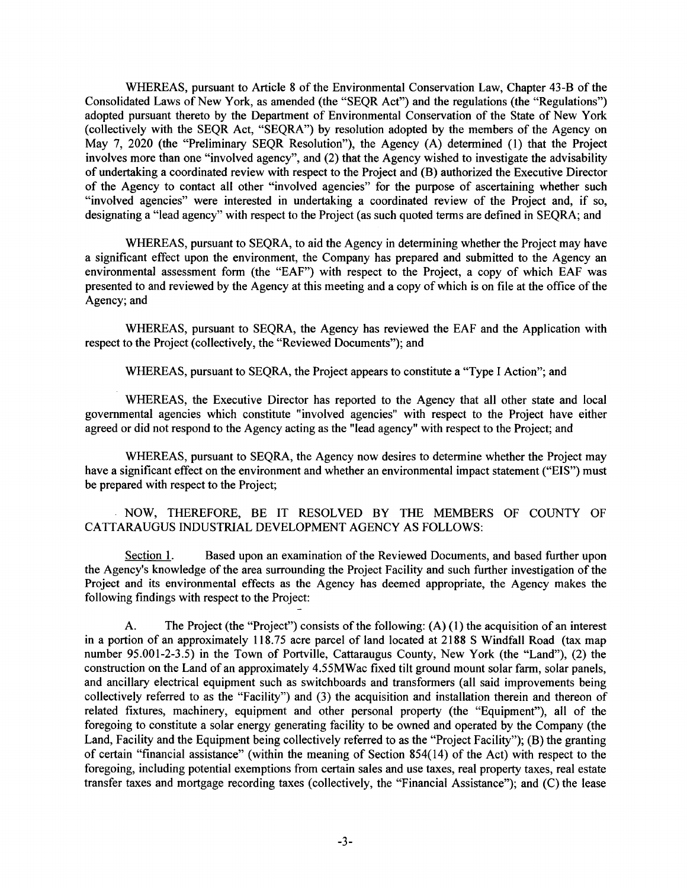WHEREAS, pursuant to Article 8 of the Environmental Conservation Law, Chapter 43-B of the Consolidated Laws of New York, as amended (the "SEQR Act") and the regulations (the "Regulations") adopted pursuant thereto by the Department of Environmental Conservation of the State of New York (collectively with the SEQR Act, "SEQRA") by resolution adopted by the members of the Agency on May 7, 2020 (the "Preliminary SEQR Resolution"), the Agency (A) determined (I) that the Project involves more than one "involved agency", and (2) that the Agency wished to investigate the advisability of undertaking a coordinated review with respect to the Project and (B) authorized the Executive Director of the Agency to contact all other "involved agencies" for the purpose of ascertaining whether such "involved agencies" were interested in undertaking a coordinated review of the Project and, if so, designating a "lead agency" with respect to the Project (as such quoted terms are defined in SEQRA; and

WHEREAS, pursuant to SEQRA, to aid the Agency in determining whether the Project may have a significant effect upon the environment, the Company has prepared and submitted to the Agency an environmental assessment form (the "EAF") with respect to the Project, a copy of which EAF was presented to and reviewed by the Agency at this meeting and a copy of which is on file at the office of the Agency; and

WHEREAS, pursuant to SEQRA, the Agency has reviewed the EAF and the Application with respect to the Project (collectively, the "Reviewed Documents"); and

WHEREAS, pursuant to SEQRA, the Project appears to constitute a "Type I Action"; and

WHEREAS, the Executive Director has reported to the Agency that all other state and local governmental agencies which constitute "involved agencies" with respect to the Project have either agreed or did not respond to the Agency acting as the "lead agency" with respect to the Project; and

WHEREAS, pursuant to SEQRA, the Agency now desires to determine whether the Project may have a significant effect on the environment and whether an environmental impact statement ("EIS") must be prepared with respect to the Project;

NOW, THEREFORE, BE IT RESOLVED BY THE MEMBERS OF COUNTY OF CATTARAUGUS INDUSTRIAL DEVELOPMENT AGENCY AS FOLLOWS:

Section 1. Based upon an examination of the Reviewed Documents, and based further upon the Agency's knowledge of the area surrounding the Project Facility and such further investigation of the Project and its environmental effects as the Agency has deemed appropriate, the Agency makes the following findings with respect to the Project:

A. The Project (the "Project") consists of the following: (A) (1) the acquisition of an interest in a portion of an approximately 118.75 acre parcel of land located at 2188 S Windfall Road (tax map number 95.001-2-3.5) in the Town of Portville, Cattaraugus County, New York (the "Land"), (2) the construction on the Land of an approximately 4.55MWac fixed tilt ground mount solar farm, solar panels, and ancillary electrical equipment such as switchboards and transformers (all said improvements being collectively referred to as the "Facility") and (3) the acquisition and installation therein and thereon of related fixtures, machinery, equipment and other personal property (the "Equipment"), all of the foregoing to constitute a solar energy generating facility to be owned and operated by the Company (the Land, Facility and the Equipment being collectively referred to as the "Project Facility"); (B) the granting of certain "financial assistance" (within the meaning of Section 854(14) of the Act) with respect to the foregoing, including potential exemptions from certain sales and use taxes, real property taxes, real estate transfer taxes and mortgage recording taxes (collectively, the "Financial Assistance"); and (C) the lease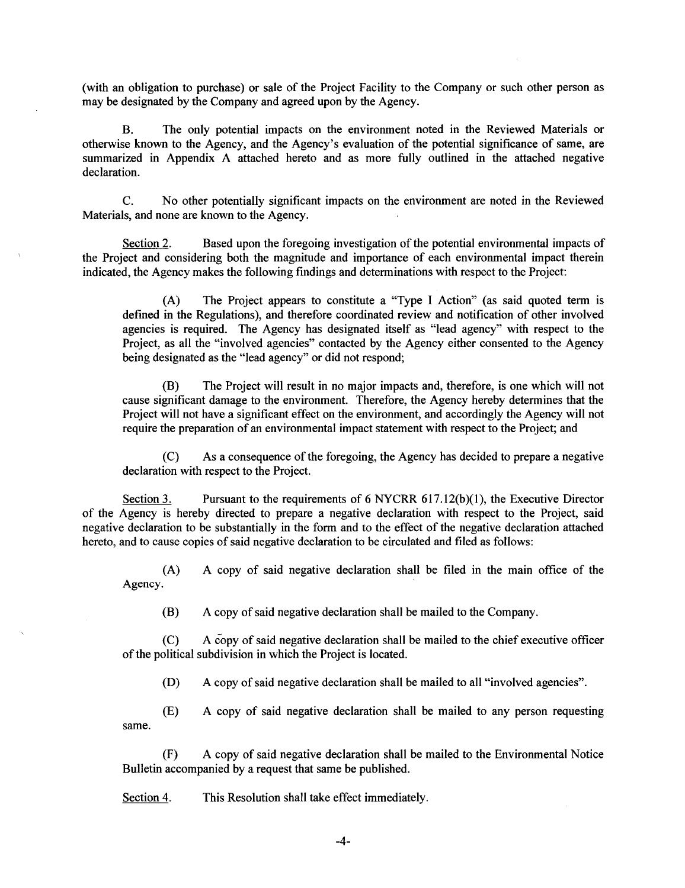(with an obligation to purchase) or sale of the Project Facility to the Company or such other person as may be designated by the Company and agreed upon by the Agency.

B. The only potential impacts on the environment noted in the Reviewed Materials or otherwise known to the Agency, and the Agency's evaluation of the potential significance of same, are summarized in Appendix A attached hereto and as more fully outlined in the attached negative declaration.

C. No other potentially significant impacts on the environment are noted in the Reviewed Materials, and none are known to the Agency.

Section 2. Based upon the foregoing investigation of the potential environmental impacts of the Project and considering both the magnitude and importance of each environmental impact therein indicated, the Agency makes the following findings and determinations with respect to the Project:

(A) The Project appears to constitute a "Type I Action" (as said quoted term is defined in the Regulations), and therefore coordinated review and notification of other involved agencies is required. The Agency has designated itself as "lead agency" with respect to the Project, as all the "involved agencies" contacted by the Agency either consented to the Agency being designated as the "lead agency" or did not respond;

(B) The Project will result in no major impacts and, therefore, is one which will not cause significant damage to the environment. Therefore, the Agency hereby determines that the Project will not have a significant effect on the environment, and accordingly the Agency will not require the preparation of an environmental impact statement with respect to the Project; and

(C) As a consequence of the foregoing, the Agency has decided to prepare a negative declaration with respect to the Project.

Section 3. Pursuant to the requirements of  $6$  NYCRR  $617.12(b)(1)$ , the Executive Director of the Agency is hereby directed to prepare a negative declaration with respect to the Project, said negative declaration to be substantially in the form and to the effect of the negative declaration attached hereto, and to cause copies of said negative declaration to be circulated and filed as follows:

(A) A copy of said negative declaration shall be filed in the main office of the Agency.

(B) A copy of said negative declaration shall be mailed to the Company.

(C) A copy of said negative declaration shall be mailed to the chief executive officer of the political subdivision in which the Project is located.

(D) A copy of said negative declaration shall be mailed to all "involved agencies".

(E) A copy of said negative declaration shall be mailed to any person requesting same.

(F) A copy of said negative declaration shall be mailed to the Environmental Notice Bulletin accompanied by a request that same be published.

Section 4. This Resolution shall take effect immediately.

-4-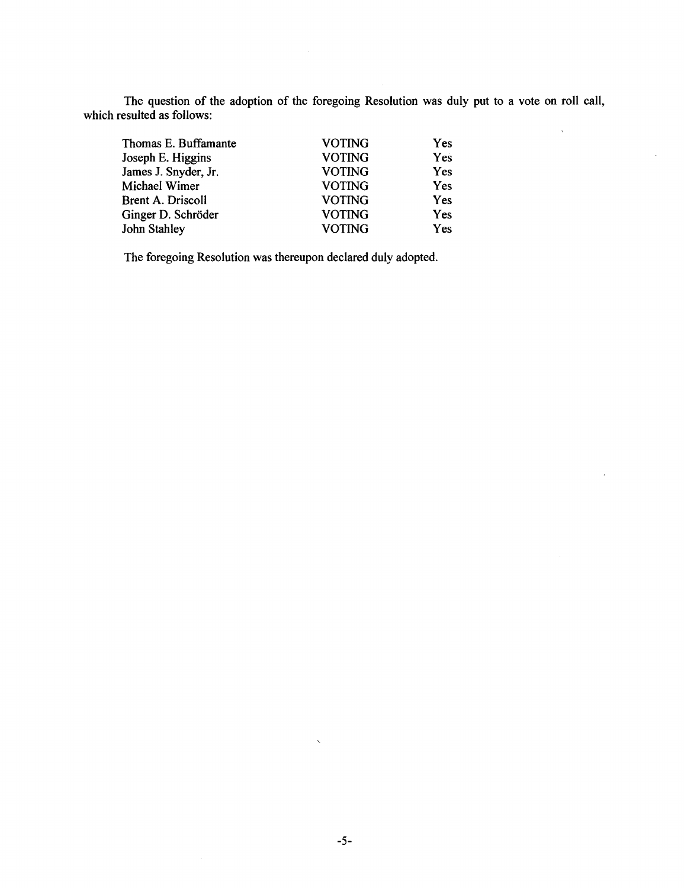The question of the adoption of the foregoing Resolution was duly put to a vote on roll call, which resulted as follows:

 $\chi$ 

| Thomas E. Buffamante     | <b>VOTING</b> | Yes |
|--------------------------|---------------|-----|
| Joseph E. Higgins        | <b>VOTING</b> | Yes |
| James J. Snyder, Jr.     | <b>VOTING</b> | Yes |
| Michael Wimer            | <b>VOTING</b> | Yes |
| <b>Brent A. Driscoll</b> | <b>VOTING</b> | Yes |
| Ginger D. Schröder       | <b>VOTING</b> | Yes |
| John Stahley             | <b>VOTING</b> | Yes |

The foregoing Resolution was thereupon declared duly adopted.

 $\bar{\mathbf{v}}$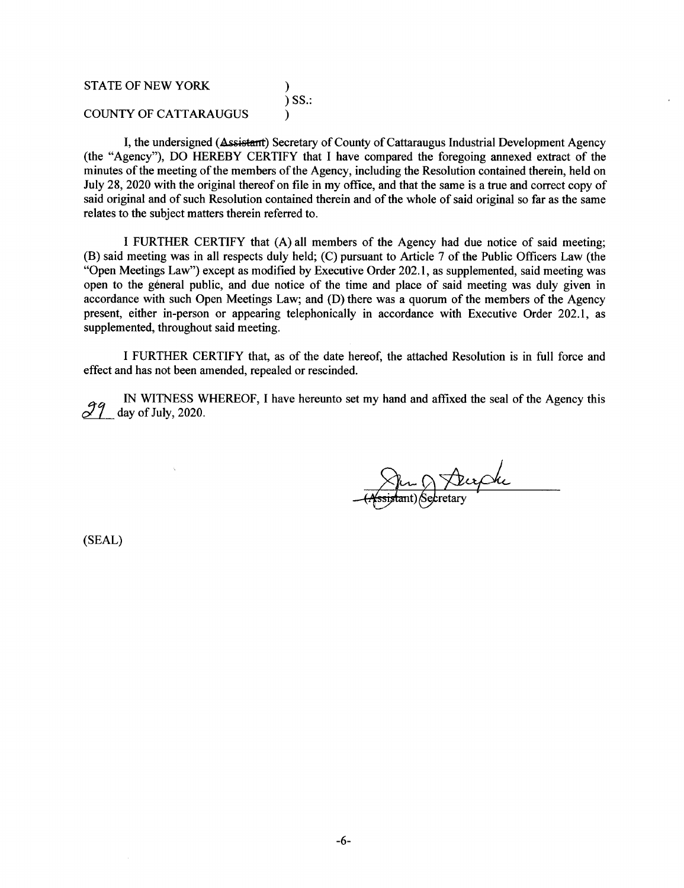## STATE OF NEW YORK )  $\overline{)}$  SS.: COUNTY OF CATTARAUGUS )

I, the undersigned ( $\Delta$ ssistant) Secretary of County of Cattaraugus Industrial Development Agency (the "Agency"), DO HEREBY CERTIFY that I have compared the foregoing annexed extract of the minutes of the meeting of the members of the Agency, including the Resolution contained therein, held on July 28, 2020 with the original thereof on file in my office, and that the same is a true and correct copy of said original and of such Resolution contained therein and of the whole of said original so far as the same relates to the subject matters therein referred to.

I FURTHER CERTIFY that (A) all members of the Agency had due notice of said meeting; (B) said meeting was in all respects duly held; (C) pursuant to Article 7 of the Public Officers Law (the "Open Meetings Law") except as modified by Executive Order 202.1, as supplemented, said meeting was open to the general public, and due notice of the time and place of said meeting was duly given in accordance with such Open Meetings Law; and (D) there was a quorum of the members of the Agency present, either in-person or appearing telephonically in accordance with Executive Order 202.1, as supplemented, throughout said meeting.

I FURTHER CERTIFY that, as of the date hereof, the attached Resolution is in full force and effect and has not been amended, repealed or rescinded.

IN WITNESS WHEREOF, I have hereunto set my hand and affixed the seal of the Agency this day of July, 2020.

(SEAL)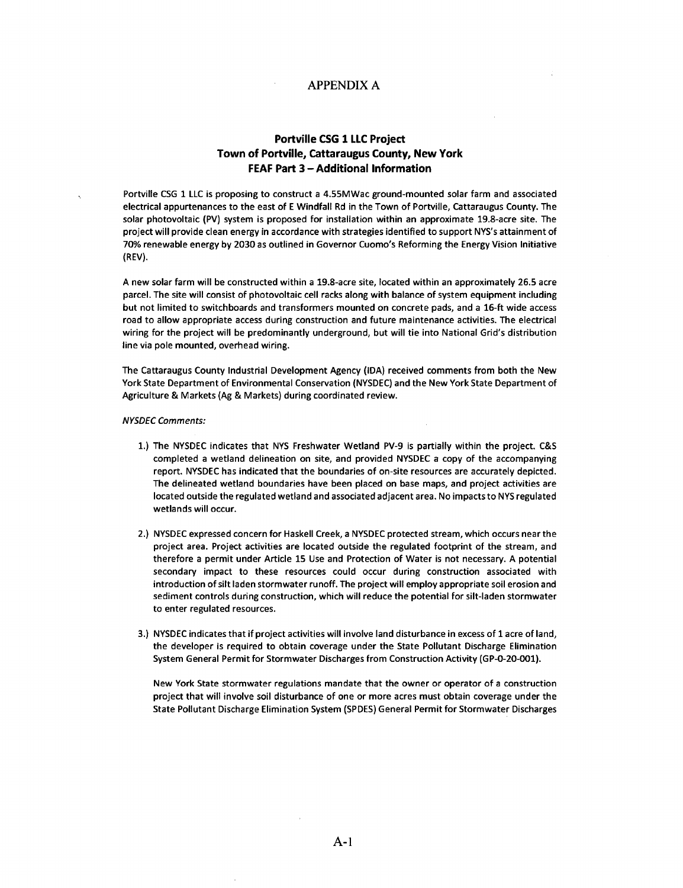### APPENDIX A

## **Portville CSG 1 LLC Project Town of Portville, cattaraugus County, New York FEAF Part 3 - Additional Information**

Portville CSG 1 LLC is proposing to construct a 4.55MWac ground-mounted solar farm and associated electrical appurtenances to the east of E Windfall Rd in the Town of Portville, Cattaraugus County. The solar photovoltaic (PV) system is proposed for installation within an approximate 19.8-acre site. The project will provide clean energy in accordance with strategies identified to support NYS's attainment of 70% renewable energy by 2030 as outlined in Governor Cuomo's Reforming the Energy Vision Initiative (REV).

A new solar farm will be constructed within a 19.8-acre site, located within an approximately 26.5 acre parcel. The site will consist of photovoltaic cell racks along with balance of system equipment including but not limited to switchboards and transformers mounted on concrete pads, and a 16-ft wide access road to allow appropriate access during construction and future maintenance activities. The electrical wiring for the project will be predominantly underground, but will tie into National Grid's distribution line via pole mounted, overhead wiring.

The Cattaraugus County Industrial Development Agency (IDA) received comments from both the New York State Department of Environmental Conservation (NYSDEC) and the New York State Department of Agriculture & Markets (Ag & Markets) during coordinated review.

### NYSDEC Comments:

- 1.) The NYSDEC indicates that NYS Freshwater Wetland PV-9 is partially within the project. C&S completed a wetland delineation on site, and provided NYSDEC a copy of the accompanying report. NYSDEC has indicated that the boundaries of on-site resources are accurately depicted. The delineated wetland boundaries have been placed on base maps, and project activities are located outside the regulated wetland and associated adjacent area. No impacts to NYS regulated wetlands will occur.
- 2.) NYSDEC expressed concern for Haskell Creek, a NYSDEC protected stream, which occurs near the project area. Project activities are located outside the regulated footprint of the stream, and therefore a permit under Article 15 Use and Protection of Water is not necessary. A potential secondary impact to these resources could occur during construction associated with introduction of silt laden stormwater runoff. The project will employ appropriate soil erosion and sediment controls during construction, which will reduce the potential for silt-laden stormwater to enter regulated resources.
- 3.) NYSDEC indicates that if project activities will involve land disturbance in excess of 1 acre of land, the developer is required to obtain coverage under the State Pollutant Discharge Elimination System General Permit for Stormwater Discharges from Construction Activity (GP-0-20-001).

New York State stormwater regulations mandate that the owner or operator of a construction project that will involve soil disturbance of one or more acres must obtain coverage under the State Pollutant Discharge Elimination System (SPDES) General Permit for Stormwater Discharges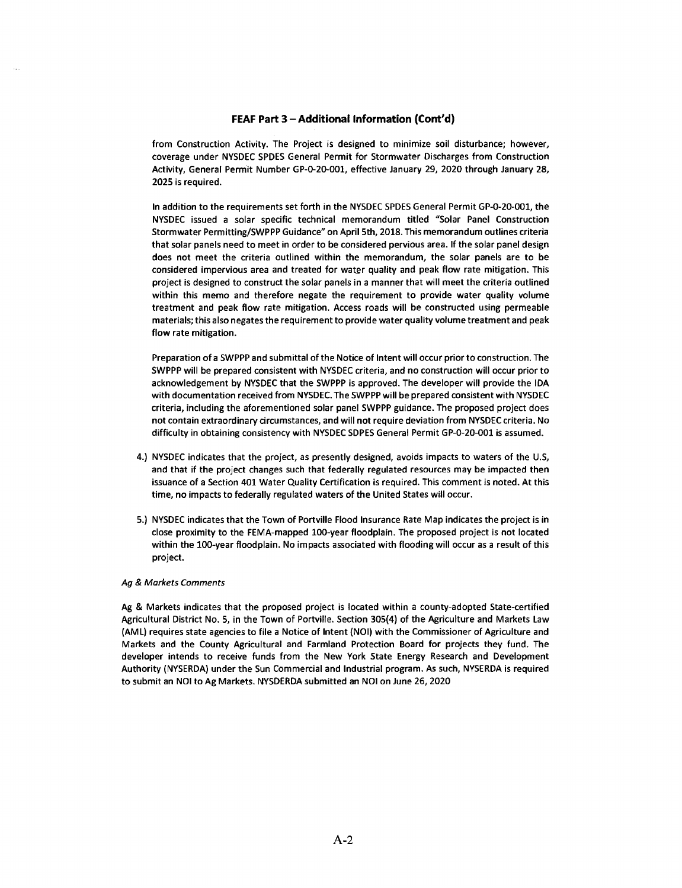from Construction Activity. The Project is designed to minimize soil disturbance; however, coverage under NYSDEC SPDES General Permit for Stormwater Discharges from Construction Activity, General Permit Number GP-0-20-001, effective January 29, 2020 through January 28, 2025 is required.

In addition to the requirements set forth in the NYSDEC SPDES General Permit GP-0-20-001, the NYSDEC issued a solar specific technical memorandum titled "Solar Panel Construction Stormwater Permitting/SWPPP Guidance" on April 5th, 2018. This memorandum outlines criteria that solar panels need to meet in order to be considered pervious area. If the solar panel design does not meet the criteria outlined within the memorandum, the solar panels are to be considered impervious area and treated for water quality and peak flow rate mitigation. This project is designed to construct the solar panels in a manner that will meet the criteria outlined within this memo and therefore negate the requirement to provide water quality volume treatment and peak flow rate mitigation. Access roads will be constructed using permeable materials; this also negates the requirement to provide water quality volume treatment and peak flow rate mitigation.

Preparation of a SW PPP and submittal of the Notice of Intent will occur prior to construction. The SWPPP will be prepared consistent with NYSDEC criteria, and no construction will occur prior to acknowledgement by NYSDEC that the SWPPP is approved. The developer will provide the IDA with documentation received from NYSDEC. The SWPPP will be prepared consistent with NYSDEC criteria, including the aforementioned solar panel SWPPP guidance. The proposed project does not contain extraordinary circumstances, and will not require deviation from NYSDEC criteria. No difficulty in obtaining consistency with NYSDEC SDPES General Permit GP-0-20-001 is assumed.

- 4.) NYSDEC indicates that the project, as presently designed, avoids impacts to waters of the U.S, and that if the project changes such that federally regulated resources may be impacted then issuance of a Section 401 Water Quality Certification is required. This comment is noted. At this time, no impacts to federally regulated waters of the United States will occur.
- 5.) NYSDEC indicates that the Town of Portville Flood Insurance Rate Map indicates the project is in close proximity to the FEMA-mapped 100-year floodplain. The proposed project is not located within the 100-year floodplain. No impacts associated with flooding will occur as a result of this project.

### Ag & Markets Comments

Ag & Markets indicates that the proposed project is located within a county-adopted State-certified Agricultural District No. 5, in the Town of Portville. Section 305(4) of the Agriculture and Markets Law (AML) requires state agencies to file a Notice of Intent (NOi) with the Commissioner of Agriculture and Markets and the County Agricultural and Farmland Protection Board for projects they fund. The developer intends to receive funds from the New York State Energy Research and Development Authority (NYSERDA) under the Sun Commercial and Industrial program. As such, NYSERDA is required to submit an NOi to Ag Markets. NVSDERDA submitted an NOi on June 26, 2020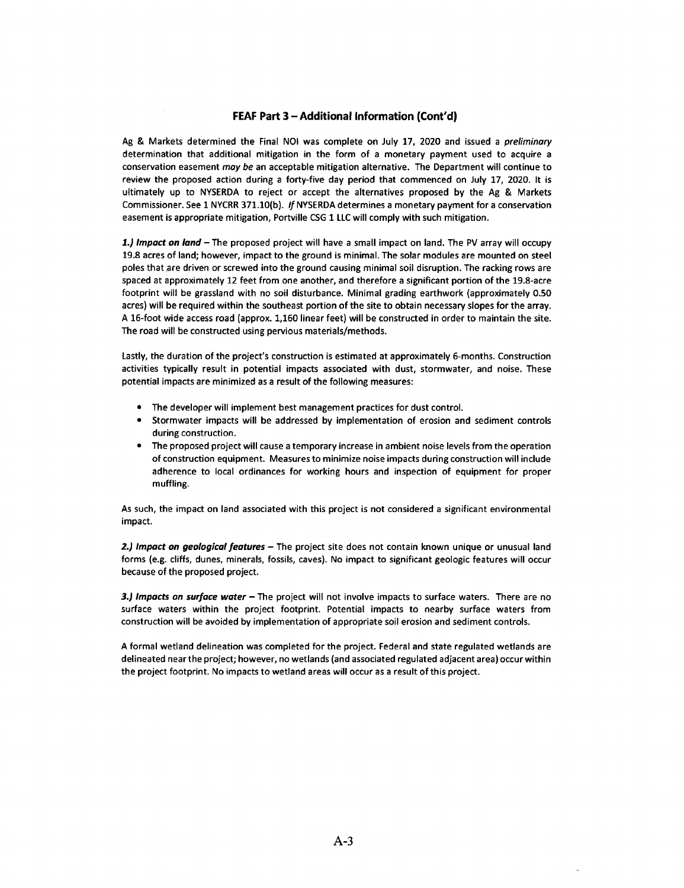Ag & Markets determined the Final NOI was complete on July 17, 2020 and issued a *preliminary* determination that additional mitigation in the form of a monetary payment used to acquire a conservation easement may be an acceptable mitigation alternative. The Department will continue to review the proposed action during a forty-five day period that commenced on July 17, 2020. It is ultimately up to NYSERDA to reject or accept the alternatives proposed by the Ag & Markets Commissioner. See 1 NYCRR 371.lO{b). *If* NYSE RDA determines a monetary payment for a conservation easement is appropriate mitigation, Portville CSG 1 LLC will comply with such mitigation.

*1.) Impact an land* - The proposed project will have a small impact on land. The PV array will occupy 19.8 acres of land; however, impact to the ground is minimal. The solar modules are mounted on steel poles that are driven or screwed into the ground causing minimal soil disruption. The racking rows are spaced at approximately 12 feet from one another, and therefore a significant portion of the 19.8-acre footprint will be grassland with no soil disturbance. Minimal grading earthwork (approximately 0.50 acres) will be required within the southeast portion of the site to obtain necessary slopes for the array. A 16-foot wide access road (approx. 1,160 linear feet) will be constructed in order to maintain the site. The road will be constructed using pervious materials/methods.

Lastly, the duration of the project's construction is estimated at approximately 6-months. Construction activities typically result in potential impacts associated with dust, stormwater, and noise. These potential impacts are minimized as a result of the following measures:

- The developer will implement best management practices for dust control.
- Stormwater impacts will be addressed by implementation of erosion and sediment controls during construction.
- The proposed project will cause a temporary increase in ambient noise levels from the operation of construction equipment. Measures to minimize noise impacts during construction will include adherence to local ordinances for working hours and inspection of equipment for proper muffling.

As such, the impact on land associated with this project is not considered a significant environmental impact.

2.) Impact on geological features - The project site does not contain known unique or unusual land forms (e.g. cliffs, dunes, minerals, fossils, caves). No impact to significant geologic features will occur because of the proposed project.

*3.) Impacts an surface water* - The project will not involve impacts to surface waters. There are no surface waters within the project footprint. Potential impacts to nearby surface waters from construction will be avoided by implementation of appropriate soil erosion and sediment controls.

A formal wetland delineation was completed for the project. Federal and state regulated wetlands are delineated near the project; however, no wetlands (and associated regulated adjacent area) occur within the project footprint. No impacts to wetland areas will occur as a result of this project.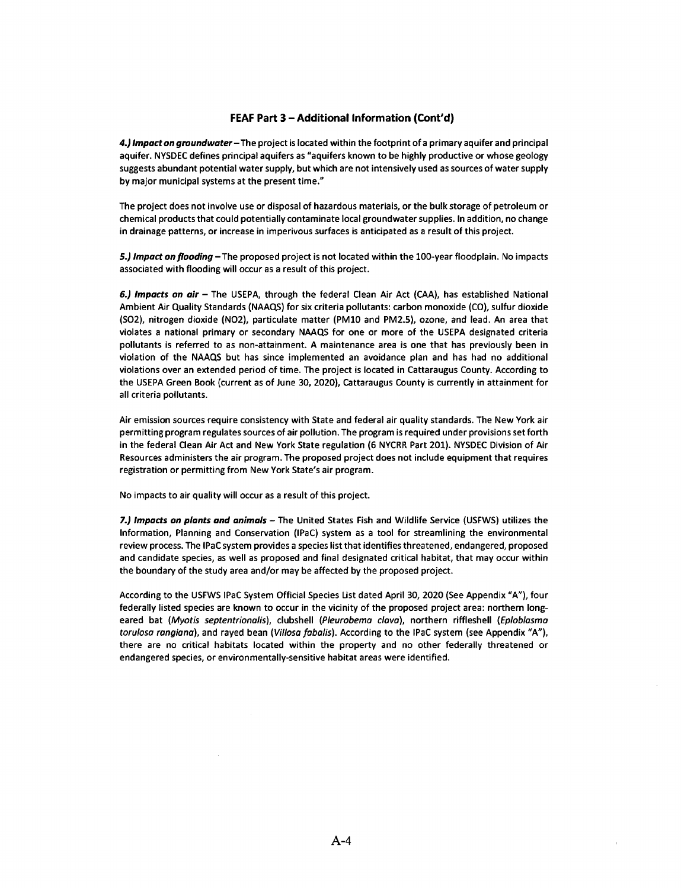*4.) Impact on groundwater-The* project is located within the footprint of a primary aquifer and principal aquifer. NYSDEC defines principal aquifers as "aquifers known to be highly productive or whose geology suggests abundant potential water supply, but which are not intensively used as sources of water supply by major municipal systems at the present time."

The project does not involve use or disposal of hazardous materials, or the bulk storage of petroleum or chemical products that could potentially contaminate local groundwater supplies. In addition, no change in drainage patterns, or increase in imperivous surfaces is anticipated as a result of this project.

*5.) Impact on flooding-The* proposed project is not located within the 100-year floodplain. No impacts associated with flooding will occur as a result of this project.

*6.) Impacts on air* - The USEPA, through the federal Clean Air Act (CAA), has established National Ambient Air Quality Standards (NAAQS) for six criteria pollutants: carbon monoxide (CO), sulfur dioxide (SO2), nitrogen dioxide (NO2), particulate matter (PMlO and PM2.5), ozone, and lead. An area that violates a national primary or secondary NAAQS for one or more of the USEPA designated criteria pollutants is referred to as non-attainment. A maintenance area is one that has previously been in violation of the NAAQS but has since implemented an avoidance plan and has had no additional violations over an extended period of time. The project is located in Cattaraugus County. According to the USEPA Green Book (current as of June 30, 2020), cattaraugus County is currently in attainment for all criteria pollutants.

Air emission sources require consistency with State and federal air quality standards. The New York air permitting program regulates sources of air pollution. The program is required under provisions set forth in the federal Clean Air Act and New York State regulation (6 NYCRR Part 201). NYSDEC Division of Air Resources administers the air program. The proposed project does not include equipment that requires registration or permitting from New York State's air program.

No impacts to air quality will occur as a result of this project.

*7.) Impacts on plants and animals* - The United States Fish and Wildlife Service (USFWS) utilizes the Information, Planning and Conservation (IPaC) system as a tool for streamlining the environmental review process. The IPaC system provides a species list that identifies threatened, endangered, proposed and candidate species, as well as proposed and final designated critical habitat, that may occur within the boundary of the study area and/or may be affected by the proposed project.

According to the USFWS IPaC System Official Species List dated April 30, 2020 (See Appendix **"A"),** four federally listed species are known to occur in the vicinity of the proposed project area: northern longeared bat (Myotis septentrionalis), clubshell (Pleurobema clava), northern riffleshell (Eploblasma torulosa rangiana), and rayed bean (Villosa fabalis). According to the IPaC system (see Appendix "A"), there are no critical habitats located within the property and no other federally threatened or endangered species, or environmentally-sensitive habitat areas were identified.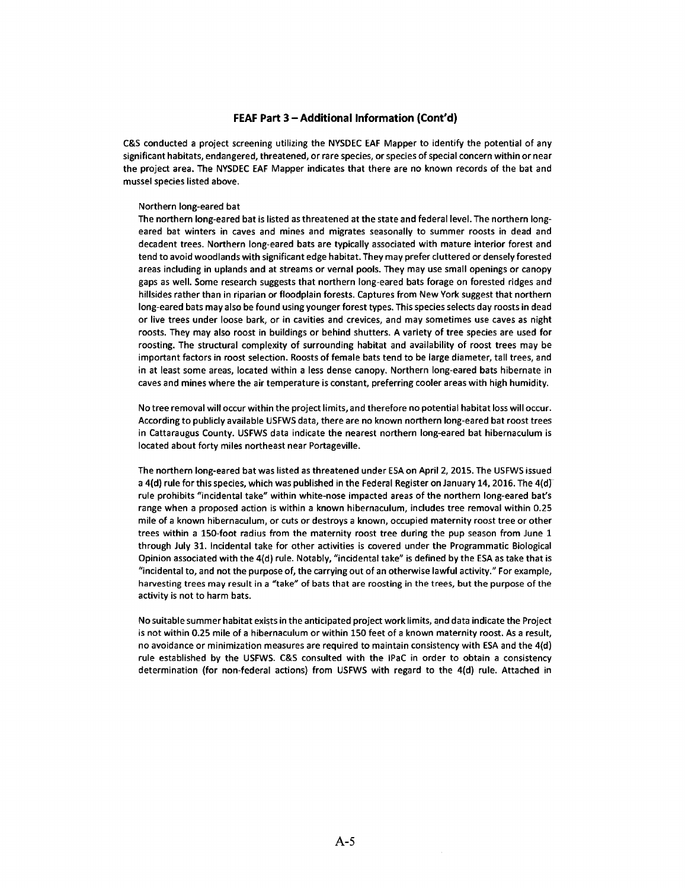C&S conducted a project screening utilizing the NYSDEC EAF Mapper to identify the potential of any significant habitats, endangered, threatened, or rare species, or species of special concern within or near the project area. The NYSDEC EAF Mapper indicates that there are no known records of the bat and mussel species listed above.

#### Northern long-eared bat

The northern long-eared bat is listed as threatened at the state and federal level. The northern longeared bat winters in caves and mines and migrates seasonally to summer roosts in dead and decadent trees. Northern long-eared bats are typically associated with mature interior forest and tend to avoid woodlands with significant edge habitat. They may prefer cluttered or densely forested areas including in uplands and at streams or vernal pools. They may use small openings or canopy gaps as well. Some research suggests that northern long-eared bats forage on forested ridges and hillsides rather than in riparian or floodplain forests. captures from New York suggest that northern long-eared bats may also be found using younger forest types. This species selects day roosts in dead or live trees under loose bark, or in cavities and crevices, and may sometimes use caves as night roosts. They may also roost in buildings or behind shutters. A variety of tree species are used for roosting. The structural complexity of surrounding habitat and availability of roost trees may be important factors in roost selection. Roosts of female bats tend to be large diameter, tall trees, and in at least some areas, located within a less dense canopy. Northern long-eared bats hibernate in caves and mines where the air temperature is constant, preferring cooler areas with high humidity.

No tree removal will occur within the project limits, and therefore no potential habitat loss will occur. According to publicly available USFWS data, there are no known northern long-eared bat roost trees in Cattaraugus County. USFWS data indicate the nearest northern long-eared bat hibernaculum is located about forty miles northeast near Portageville.

The northern long-eared bat was listed as threatened under ESA on April 2, 2015. The USFWS issued a 4(d) rule for this species, which was published in the Federal Register on January 14, 2016. The 4(d) rule prohibits "incidental take" within white-nose impacted areas of the northern long-eared bat's range when a proposed action is within a known hibernaculum, includes tree removal within 0.25 mile of a known hibernaculum, or cuts or destroys a known, occupied maternity roost tree or other trees within a 150-foot radius from the maternity roost tree during the pup season from June 1 through July 31. Incidental take for other activities is covered under the Programmatic Biological Opinion associated with the 4(d) rule. Notably, "incidental take" is defined by the ESA as take that is "incidental to, and not the purpose of, the carrying out of an otherwise lawful activity." For example, harvesting trees may result in a "take" of bats that are roosting in the trees, but the purpose of the activity is not to harm bats.

No suitable summer habitat exists in the anticipated project work limits, and data indicate the Project is not within 0.25 mile of a hibernaculum or within 150 feet of a known maternity roost. As a result, no avoidance or minimization measures are required to maintain consistency with ESA and the 4(d) rule established by the USFWS. C&S consulted with the IPaC in order to obtain a consistency determination (for non-federal actions) from USFWS with regard to the 4(d) rule. Attached in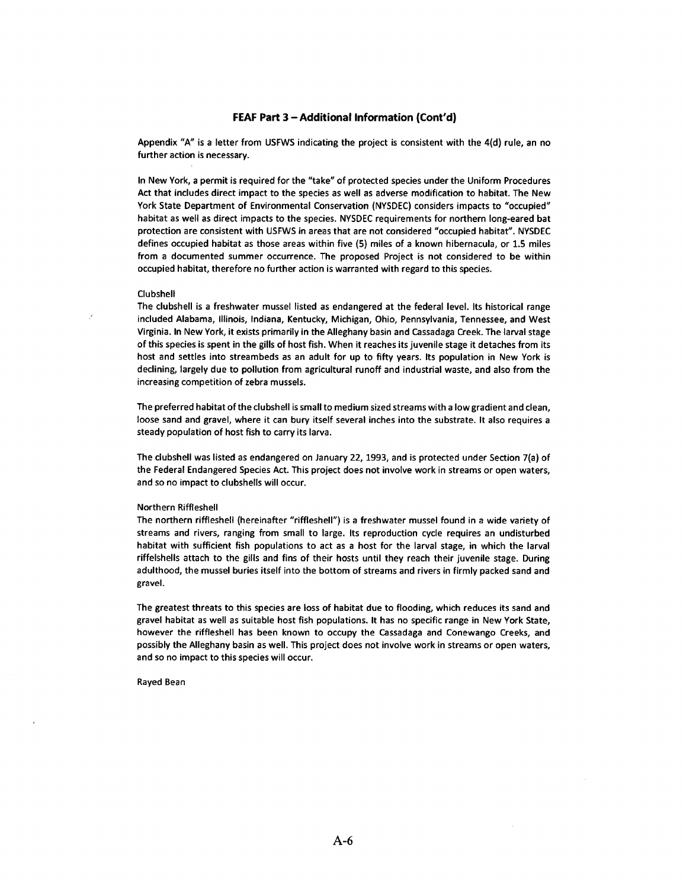Appendix "A" is a letter from USFWS indicating the project is consistent with the 4(d) rule, an no further action is necessary.

In New York, a permit is required for the "take" of protected species under the Uniform Procedures Act that includes direct impact to the species as well as adverse modification to habitat. The New York State Department of Environmental Conservation (NYSDEC) considers impacts to "occupied" habitat as well as direct impacts to the species. NYSDEC requirements for northern long-eared bat protection are consistent with USFWS in areas that are not considered "occupied habitat". NYSDEC defines occupied habitat as those areas within five (5) miles of a known hibernacula, or 1.5 miles from a documented summer occurrence. The proposed Project is not considered to be within occupied habitat, therefore no further action is warranted with regard to this species.

### Clubshell

The clubshell is a freshwater mussel listed as endangered at the federal level. Its historical range included Alabama, Illinois, Indiana, Kentucky, Michigan, Ohio, Pennsylvania, Tennessee, and West Virginia. In New York, it exists primarily in the Alleghany basin and Cassadaga Creek. The larval stage of this species is spent in the gills of host fish. When it reaches its juvenile stage it detaches from its host and settles into streambeds as an adult for up to fifty years. Its population in New York is declining, largely due to pollution from agricultural runoff and industrial waste, and also from the increasing competition of zebra mussels.

The preferred habitat of the clubshell is small to medium sized streams with a low gradient and clean, loose sand and gravel, where it can bury itself several inches into the substrate. It also requires a steady population of host fish to carry its larva.

The clubshell was listed as endangered on January 22, 1993, and is protected under Section 7(a) of the Federal Endangered Species Act. This project does not involve work in streams or open waters, and so no impact to clubshells will occur.

#### Northern Riffleshell

The northern riffleshell (hereinafter "riffleshell") is a freshwater mussel found in a wide variety of streams and rivers, ranging from small to large. Its reproduction cycle requires an undisturbed habitat with sufficient fish populations to act as a host for the larval stage, in which the larval riffelshells attach to the gills and fins of their hosts until they reach their juvenile stage. During adulthood, the mussel buries itself into the bottom of streams and rivers in firmly packed sand and gravel.

The greatest threats to this species are loss of habitat due to flooding, which reduces its sand and gravel habitat as well as suitable host fish populations. It has no specific range in New York State, however the riffleshell has been known to occupy the Cassadaga and Conewango Creeks, and possibly the Alleghany basin as well. This project does not involve work in streams or open waters, and so no impact to this species will occur.

Rayed Bean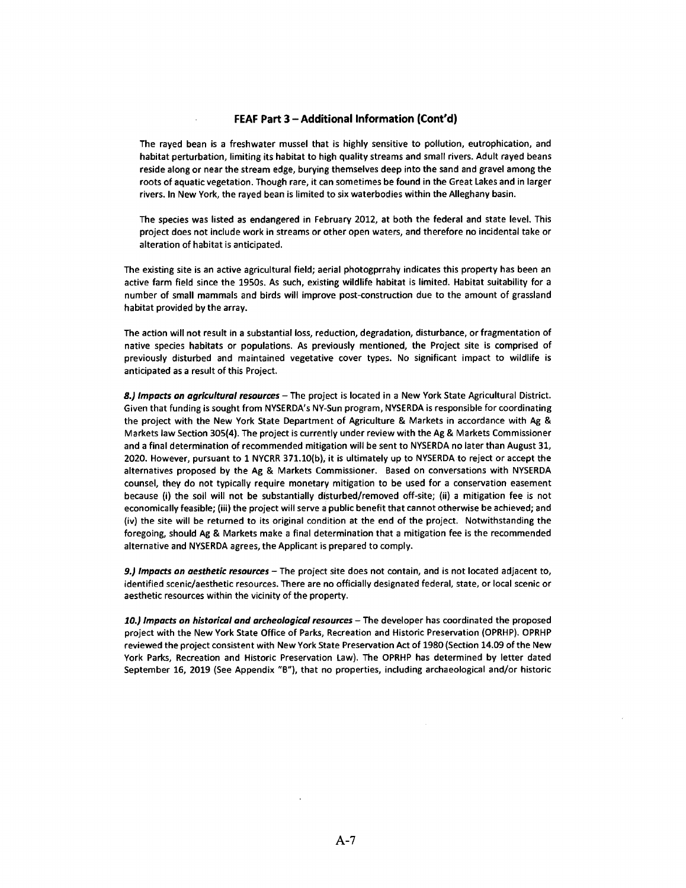The rayed bean is a freshwater mussel that is highly sensitive to pollution, eutrophication, and habitat perturbation, limiting its habitat to high quality streams and small rivers. Adult rayed beans reside along or near the stream edge, burying themselves deep into the sand and gravel among the roots of aquatic vegetation. Though rare, it can sometimes be found in the Great Lakes and in larger rivers. In New York, the rayed bean is limited to six waterbodies within the Alleghany basin.

The species was listed as endangered in February 2012, at both the federal and state level. This project does not include work in streams or other open waters, and therefore no incidental take or alteration of habitat is anticipated.

The existing site is an active agricultural field; aerial photogprrahy indicates this property has been an active farm field since the 1950s. As such, existing wildlife habitat is limited. Habitat suitability for a number of small mammals and birds will improve post-construction due to the amount of grassland habitat provided by the array.

The action will not result in a substantial loss, reduction, degradation, disturbance, or fragmentation of native species habitats or populations. As previously mentioned, the Project site is comprised of previously disturbed and maintained vegetative cover types. No significant impact to wildlife is anticipated as a result of this Project.

*8.) Impacts on agricultural resources* - The project is located in a New York State Agricultural District. Given that funding is sought from NYSERDA's NY-Sun program, NYSERDA is responsible for coordinating the project with the New York State Department of Agriculture & Markets in accordance with Ag & Markets law Section 305(4). The project is currently under review with the Ag & Markets Commissioner and a final determination of recommended mitigation will be sent to NYSERDA no later than August 31, 2020. However, pursuant to 1 NYCRR 371.l0(b), it is ultimately up to NYSERDA to reject or accept the alternatives proposed by the Ag & Markets Commissioner. Based on conversations with NYSERDA counsel, they do not typically require monetary mitigation to be used for a conservation easement because (i) the soil will not be substantially disturbed/removed off-site; (ii) a mitigation fee is not economically feasible; (iii) the project will serve a public benefit that cannot otherwise be achieved; and (iv) the site will be returned to its original condition at the end of the project. Notwithstanding the foregoing, should Ag & Markets make a final determination that a mitigation fee is the recommended alternative and NYSERDA agrees, the Applicant is prepared to comply.

*9.) Impacts on aesthetic resources* - The project site does not contain, and is not located adjacent to, identified scenic/aesthetic resources. There are no officially designated federal, state, or local scenic or aesthetic resources within the vicinity of the property.

10.) Impacts on historical and archeological resources - The developer has coordinated the proposed project with the New York State Office of Parks, Recreation and Historic Preservation (OPRHP). OPRHP reviewed the project consistent with New York State Preservation Act of 1980 (Section 14.09 of the New York Parks, Recreation and Historic Preservation Law). The OPRHP has determined by letter dated September 16, 2019 (See Appendix "B"), that no properties, including archaeological and/or historic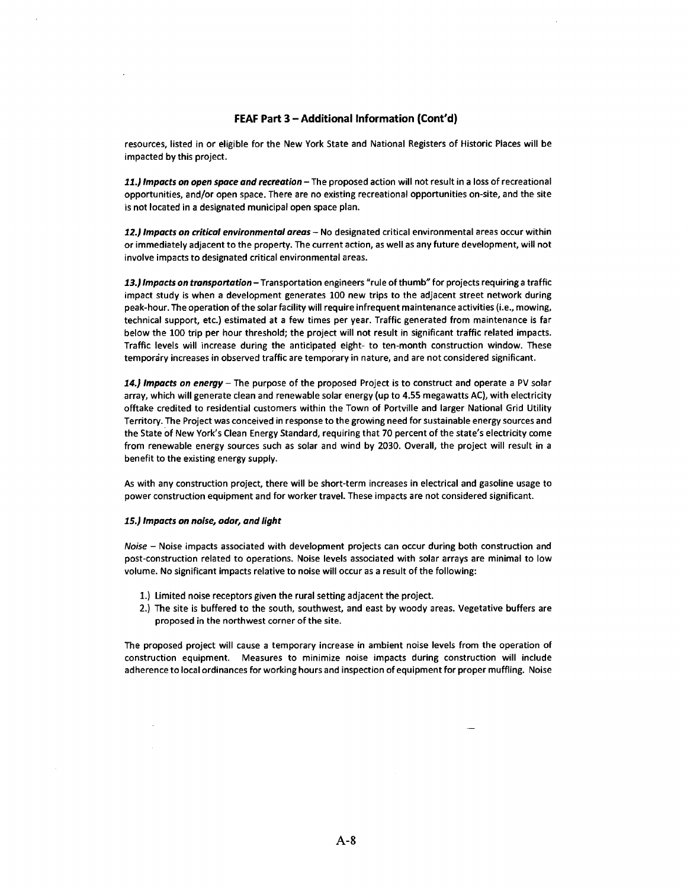resources, listed in or eligible for the New York State and National Registers of Historic Places will be impacted by this project.

*11.) Impacts* **on** *open space and recreation* -The proposed action will not result in a loss of recreational opportunities, and/or open space. There are no existing recreational opportunities on-site, and the site is not located in a designated municipal open space plan.

*12.) Impacts* **on** *critical environmental areas* - No designated critical environmental areas occur within or immediately adjacent to the property. The current action, as well as any future development, will not involve impacts to designated critical environmental areas.

*13.) Impacts* **on** *transportation-Transportation* engineers "rule of thumb" for projects requiring a traffic impact study is when a development generates 100 new trips to the adjacent street network during peak-hour. The operation of the solar facility will require infrequent maintenance activities (i.e., mowing, technical support, etc.) estimated at a few times per year. Traffic generated from maintenance is far below the 100 trip per hour threshold; the project will not result in significant traffic related impacts. Traffic levels will increase during the anticipated eight- to ten-month construction window. These temporary increases in observed traffic are temporary in nature, and are not considered significant.

*14.) Impacts* **on** *energy* - The purpose of the proposed Project is to construct and operate a PV solar array, which will generate clean and renewable solar energy (up to 4.55 megawatts AC), with electricity offtake credited to residential customers within the Town of Portville and larger National Grid Utility Territory. The Project was conceived in response to the growing need for sustainable energy sources and the State of New York's Clean Energy Standard, requiring that 70 percent of the state's electricity come from renewable energy sources such as solar and wind by 2030. Overall, the project will result in a benefit to the existing energy supply.

As with any construction project, there will be short-term increases in electrical and gasoline usage to power construction equipment and for worker travel. These impacts are not considered significant.

#### *15.) Impacts* **on** *noise, odor, and light*

Noise - Noise impacts associated with development projects can occur during both construction and post-construction related to operations. Noise levels associated with solar arrays are minimal to low volume. No significant impacts relative to noise will occur as a result of the following:

- 1.) Limited noise receptors given the rural setting adjacent the project.
- 2.) The site is buffered to the south, southwest, and east by woody areas. Vegetative buffers are proposed in the northwest corner of the site.

The proposed project will cause a temporary increase in ambient noise levels from the operation of construction equipment. Measures to minimize noise impacts during construction will include adherence to local ordinances for working hours and inspection of equipment for proper muffling. Noise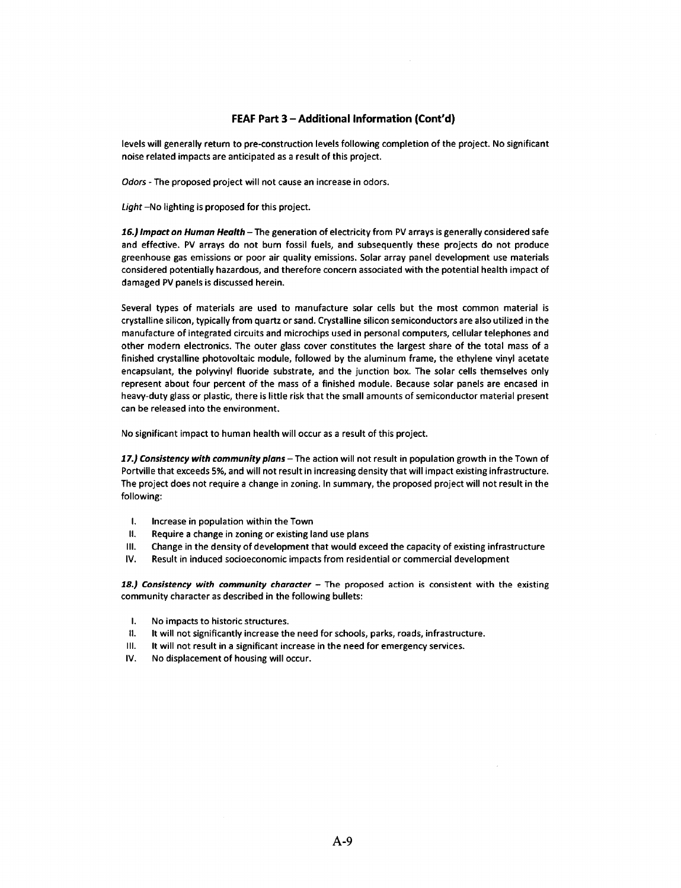levels will generally return to pre-construction levels following completion of the project. No significant noise related impacts are anticipated as a result of this project.

Odors - The proposed project will not cause an increase in odors.

*light-No* lighting is proposed for this project.

*16.) Impact on Human Health-* The generation of electricity from PV arrays is generally considered safe and effective. PV arrays do not burn fossil fuels, and subsequently these projects do not produce greenhouse gas emissions or poor air quality emissions. Solar array panel development use materials considered potentially hazardous, and therefore concern associated with the potential health impact of damaged PV panels is discussed herein.

Several types of materials are used to manufacture solar cells but the most common material is crystalline silicon, typically from quartz or sand. Crystalline silicon semiconductors are also utilized in the manufacture of integrated circuits and microchips used in personal computers, cellular telephones and other modern electronics. The outer glass cover constitutes the largest share of the total mass of a finished crystalline photovoltaic module, followed by the aluminum frame, the ethylene vinyl acetate encapsulant, the polyvinyl fluoride substrate, and the junction box. The solar cells themselves only represent about four percent of the mass of a finished module. Because solar panels are encased in heavy-duty glass or plastic, there is little risk that the small amounts of semiconductor material present can be released into the environment.

No significant impact to human health will occur as a result of this project.

17.) Consistency with community plans - The action will not result in population growth in the Town of Portville that exceeds 5%, and will not result in increasing density that will impact existing infrastructure. The project does not require a change in zoning. In summary, the proposed project will not result in the following:

- I. Increase in population within the Town
- II. Require a change in zoning or existing land use plans
- Ill. Change in the density of development that would exceed the capacity of existing infrastructure
- IV. Result in induced socioeconomic impacts from residential or commercial development

18.) Consistency with community character - The proposed action is consistent with the existing community character as described in the following bullets:

- I. No impacts to historic structures.
- II. It will not significantly increase the need for schools, parks, roads, infrastructure.
- Ill. It will not result in a significant increase in the need for emergency services.
- IV. No displacement of housing will occur.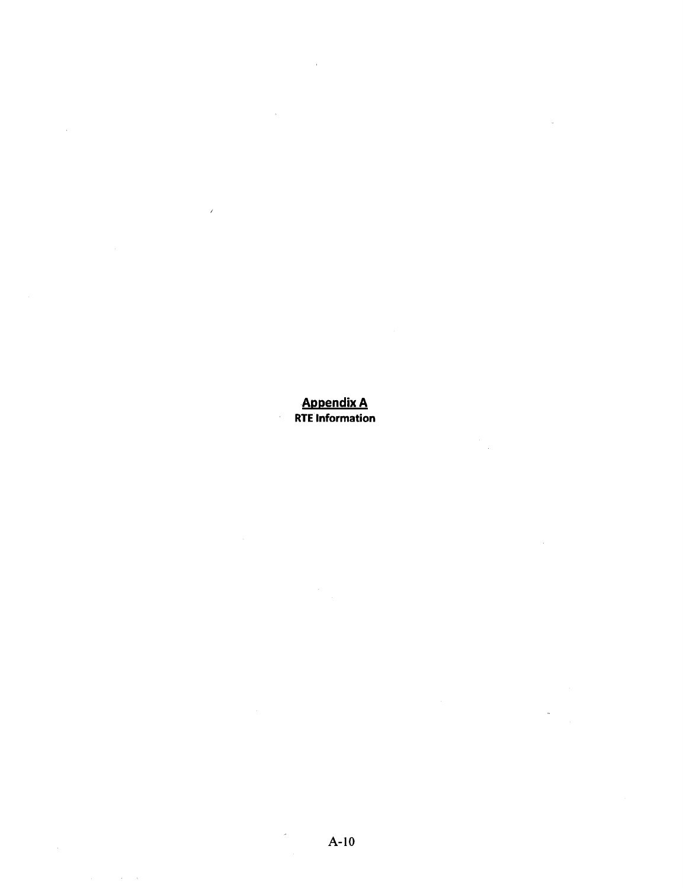Appendix A RTE Information

 $\bar{\bar{z}}$ 

 $\bar{z}$ 

 $\hat{\theta}$ 

 $\alpha_{\rm eff} \sim 10$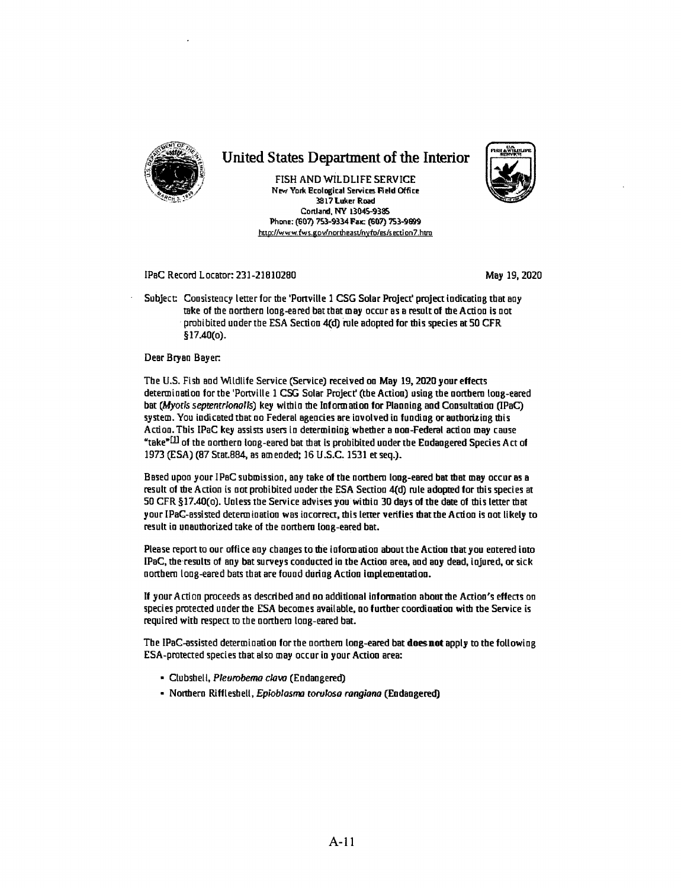

## United States Department of the Interior

FISH AND WILDLIFE SERVICE New York Ecological Services Field Office 3817 **Luker Road**  Cortland, NY 13045-9385 Phone: (607) 753-9334 Fax: (607) 753-9899 http://www.fws.gov/northeast/nyfo/es/section7.htro



### IPaC Record Locator: 231-21810280 May 19, 2020 May 19, 2020

Subject: Consistency letter for the 'Portville 1 CSG Solar Project' project indicating that any take of the northern loag-eared batthat may occur as a result of tbe Action is not prohibited under the ESA Section -4(d) rule adopted for this species at 50 CFR §17.40(0).

### Dear Bryan Bayer:

The U.S. Fish aad Wildlife Service (Service) received on May 19, 2020 your effeas determiaation for the 'Ponville 1 CSG Solar Project' (the Action) using the northern loag-eared bat (Myotis septentrionalis) key within the Information for Planning and Consultation (IPaC)  $s$ ystem. You indicated that no Federal agencies are involved in funding or authorizing this Actioa. This IPaC key assists users in determiniag whether a aon-Federal action may cause "take $^{*(11)}$  of the northern long-eared bat that is prohibited under the Endangered Species Act of 1973 (ESA) (87 Stat884, as am ended; 16 U .S.C. 1531 et seq.).

Based upoa your IPaC submission, aay take of the northern long-eared bat tbat may occur as a result of the Action is not prohibited under the ESA Section 4(d) rule adopted for this species at 50 CFR §17.40(0). Ualess the Service advises you within 30 days of the date of tbis letter tbat your IPaC-assisted determination was incorrect, this letter verifies that the Action is not likely to result in unauthorized take of the northern long-eared bat.

Please report to our office any changes to the information about the Action that you entered into IPaC, the results of any bat surveys conducted in the Action area, and any dead, injured, or sick northern long-eared bats that are found during Action lmplemeotatioo.

If your Action proceeds as described aad ao additional iafonnatioa abouttbe Action's effects oo species protected under the ESA becomes available, ao further coordination with the Service is required with respect to the northern long-eared bat.

The IPaC-assisted determination for the northern long-eared bat **doesnot** apply to the following ESA-protected species that also may occur in your Action area:

- Clubshell, Pleurobemo clovo (Endangered)
- Nortbera Riffleshell, *Epioblosma toroloso rongiono* (Endangered)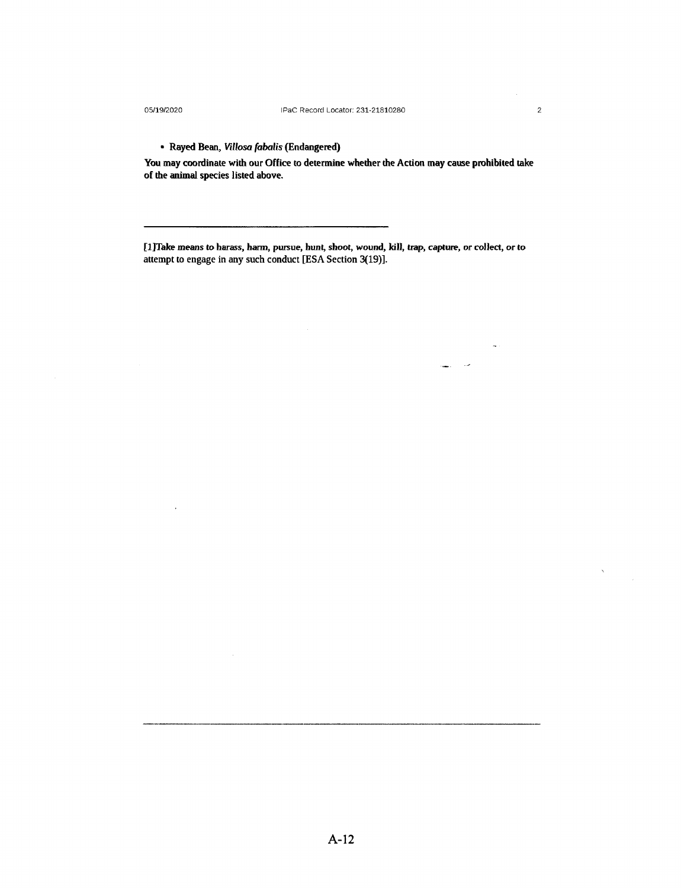$\overline{a}$ 

 $\lambda$ 

مد  $\sim$ 

## • Rayed Bean, *Villosa fabalis* {Endangered)

You may coordinate with our Office to determine whether the Action may cause prohibited take of the animal species listed above.

[1]Take means to harass, harm, pursue, hunt, shoot, wound, kill, trap, capture, or collect, or to attempt to engage in any such conduct [ESA Section 3(19)].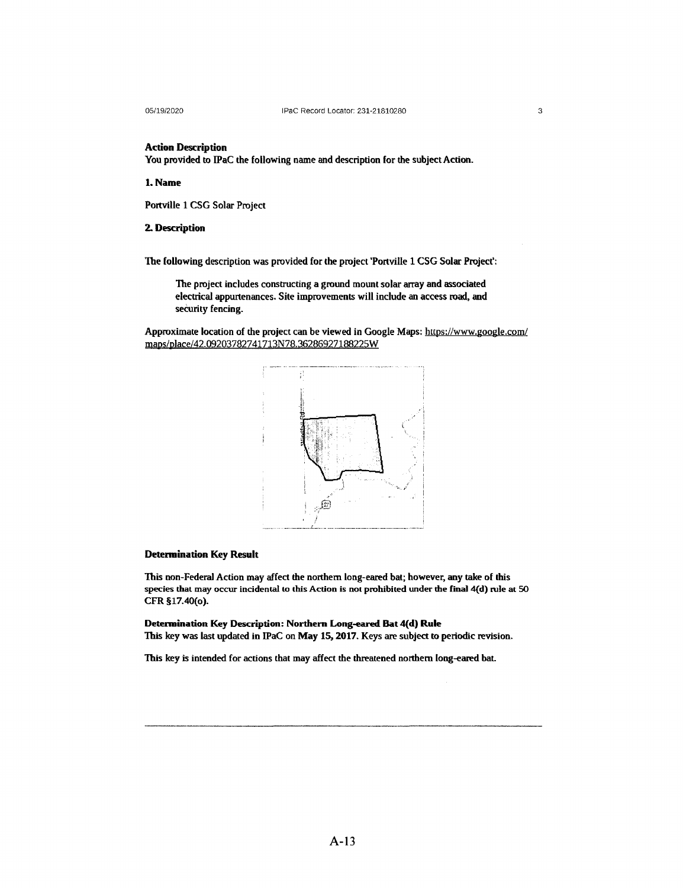**Action Description** 

You provided to IPaC the following name and description for the subject Action.

**1.Name** 

Portville 1 CSG Solar Project

### **2. Description**

The following description was provided for the project 'Portville 1 CSG Solar Project':

The project includes constructing a ground mount solar array and associated electrical appurtenances. Site improvements will include an access road, and security fencing.

Approximate location of the project can be viewed in Google Maps: https://www.google.com/ maps/place/42.09203782741713N78.36286927188225W



### **Detennination Key Result**

This non-FederaJ Action may affect the northern long-eared bat; however, any take of this species that may occur incidental to this Action is not prohibited under the final 4(d) rule at 50 CFR §17.40(0).

**Determination Key Description: Northern Long-eared Bat4(d} Rule**  This key was last updated in IPaC on May 15, **2017.** Keys are subject to periodic revision.

This key is intended for actions that may affect the threatened northern long-eared bat.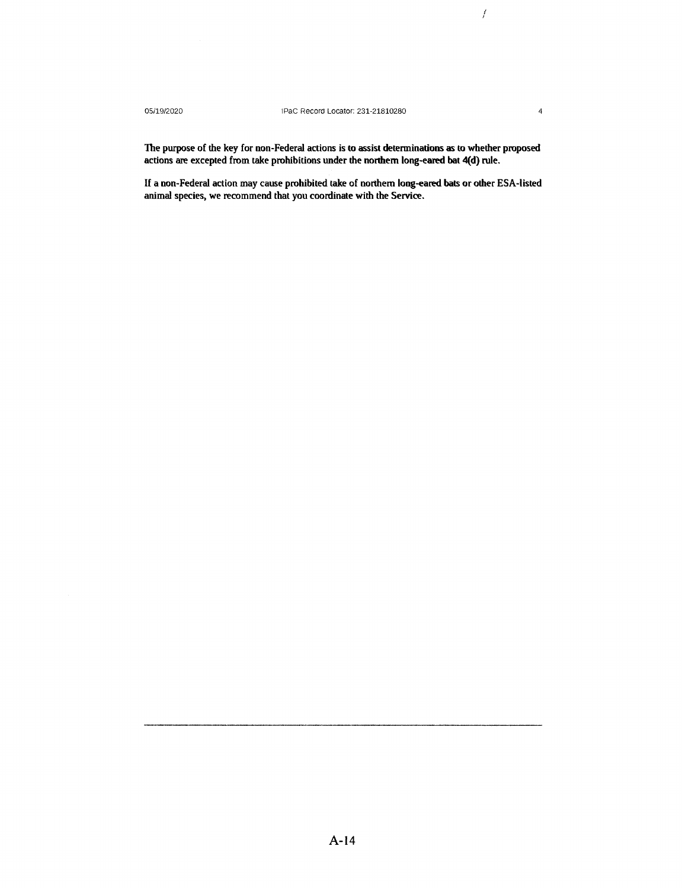*I I* 

The purpose of the key for non-Federal actions is to assist determinations as to whether proposed actions are excepted from take prohibitions under the northern long-eared bat 4(d) rule.

If a non-Federal action may cause prohibited take of northern long-eared bats or other ESA-listed animal species, we recommend that you coordinate with the Service.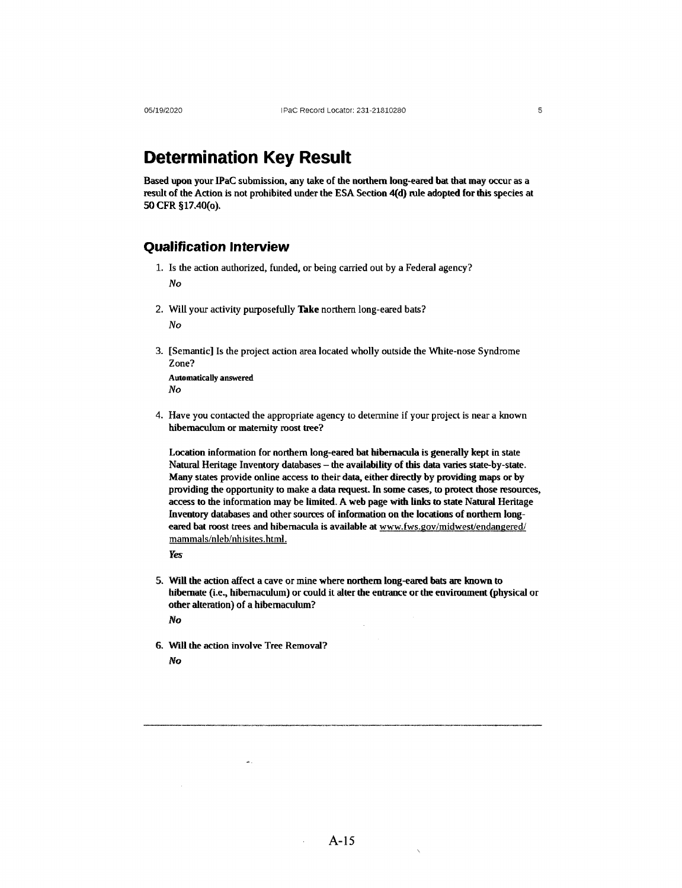## **Determination Key Result**

Based upon your IPaC submission, any take of the northern long-eared bat that may occur as a result of the Action is not prohibited under the ESA Section 4(d) rule adopted for this species at 50 **CFR** § 17.40(0).

### **Qualification Interview**

- 1. Is the action authorized, funded, or being carried out by a Federal agency? No
- 2. Will your activity purposefully **Toke** northern long-eared bats? No
- 3. [Semantic] Is the project action area located wholly outside the White-nose Syndrome Zone?

**Automatically answered**  No

4. Have you contacted the appropriate agency to determine if your project is near a known hibemaculum or maternity roost tree?

Location information for northern long-eared bat hibernacula is generally kept in state Natural Heritage Inventory databases - the availability of this data varies state-by-state. Many states provide online access to their data, either directly by providing maps or by providing the opportunity to make a data request. In some cases, to protect those resources, access to the information may be limited. A web page with links to state Natural Heritage Inventory databases and other sources of information on the locations of northern longeared bat roost trees and hibernacula is available at www.fws.gov/midwest/endangered/ mammals/nleb/nhisites. html.

*Yes* 

- 5. Will the action affect a cave or mine where northern long-eared bats are known to hibernate (i.e., hibernaculum) or could it alter the entrance or the environment (physical or other alteration) of a hibemaculum? No
- 6. Will the action involve Tree Removal? No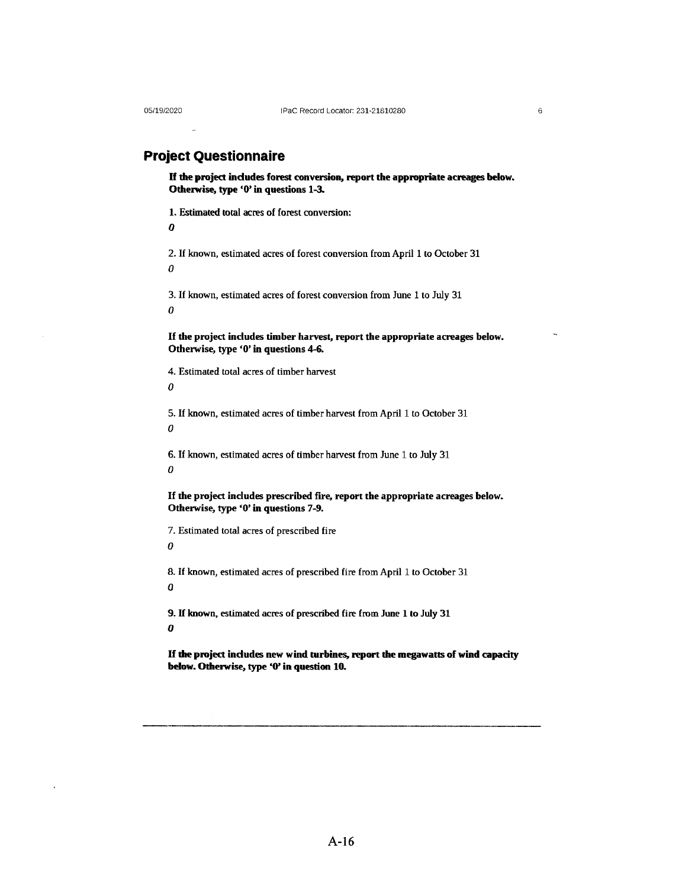6

## **Project Questionnaire**

**ff the project indudes forest conversion, report the appropriate acreages below. Otherwise, type '0'** in **questions** 1-3.

1. Estimated total acres of forest conversion:

 $\boldsymbol{a}$ 

2. If known, estimated acres of forest conversion from April 1 to October 31 0

3. If known, estimated acres of forest conversion from June 1 to July 31 0

If **the project includes timber harvest, report the appropriate acreages below. Otherwise, type '0'** in **questions 4-6.** 

4. Estimated total acres of timber harvest

 $\boldsymbol{\theta}$ 

5. If known, estimated acres of timber harvest from April 1 to October 31  $\theta$ 

6. If known, estimated acres of timber harvest from June 1 to July 31  $\theta$ 

If **the project includes prescribed fire, report the appropriate acreages below. Otherwise, type '0'** in **questions 7-9.** 

7. Estimated total acres of prescribed fire  $\theta$ 

8. If known, estimated acres of prescribed fire from April 1 to October 31 *Q* 

9. If known, estimated acres of prescribed fire from June 1 to July 31  $\boldsymbol{0}$ 

If **the project indudes new wind turbines, report the megawatts of wind capacity below. Otherwise, type 'O' in question 10.**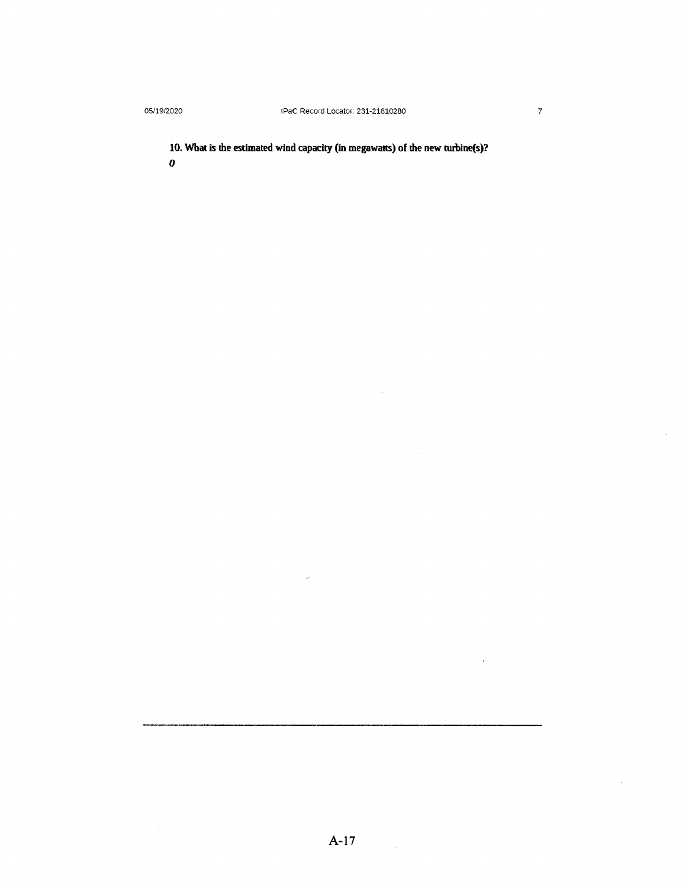**10. What is the estimated wind capacity (in megawatts) of the new turbine(s)? 0** 

 $\bar{z}$ 

 $\sim$ 

 $\ddot{\phantom{a}}$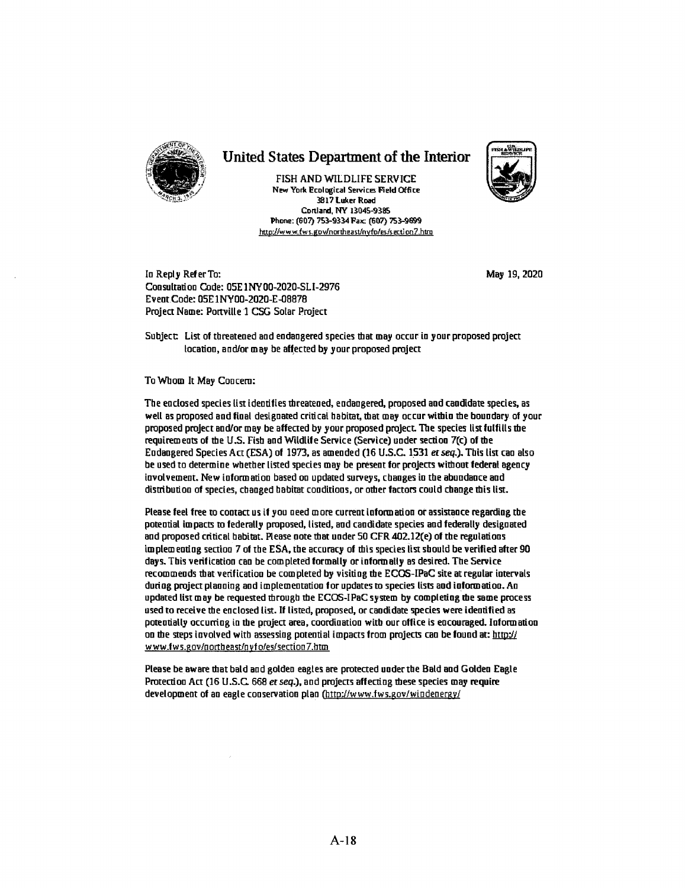

## United States Department of the Interior

FISH AND WILDLIFE SERVICE New York Ecological Services Field Office 3817 luker Road Conlard, NY 13045-9385 **Phone:** (607) 753-9334 Faic (607) 753-9899 http://www.fws..gov/northeast/nyfo/es/secti on 7 .htro



Io Reply Refer To: Coosultatioa Code: 05E lNY00-2020-SLI-2976 Ev eat Code: 05E 1 NY00-2020-E-08878 Project Name: Portville 1 CSG Solar Project

May 19, 2020

Subject: List of threatened and endangered species that may occur in your proposed project location, and/or may be affected by your proposed project

To Whom It May Coacero:

The enclosed species list identifies threatened, endangered, proposed and candidate species, as well as proposed and final designated critical habitat, that may occur within me boundary of your proposed project and/or may be affected by your proposed project. The species list fulfills the requirem eats of the U.S. Fish aad Wildlife Service (Service) under section 7(c) of the Endangered Species Act (ESA) of 1973, as amended (16 U.S.C. 1\_531 er seq.). This list caa also be used to determine whether listed species may be present for projects without federal agency involvement. New information based on updated surveys, changes in the abundance and distribution of species, chaaged habitat coaditioos, or other factors could chaoge this list.

Please feel free to contact us if you need more current information ot assistance regarding the potential impacts to federally proposed, listed, and candidate species and federally designated and proposed critical habitat. Please note that under 50 CFR 402.12(e) of the regulations im plem eating section 7 of the ESA, the accuracy of this species list should be verified after 90 days. This verification can be completed formally or informally as desired. The Service recommends that verification be completed by visiting the ECOS-IPaC site at regular intervals during project planning and implementation for updates to species lists and information. Ao updated list may be requested through the ECOS-IPaC system by completing the same process used to receive the enclosed list. If listed, proposed, or candidate species were identified as potentially occurring in the project area, coordination with our office is eocouraged. Information on the steps involved with assessing potential impacts from projects can be found at: http:// www.fws.gov/northeast/nyfo/es/section7.htm

Please be **aware** that bald and golden eagles are protected under the Bald and Golden Eagle Protection Act (16 U.S.C. 668 et seq.), and projects affecting these species may require development of an eagle conservation plan (http://www.fws.gov/windenergy/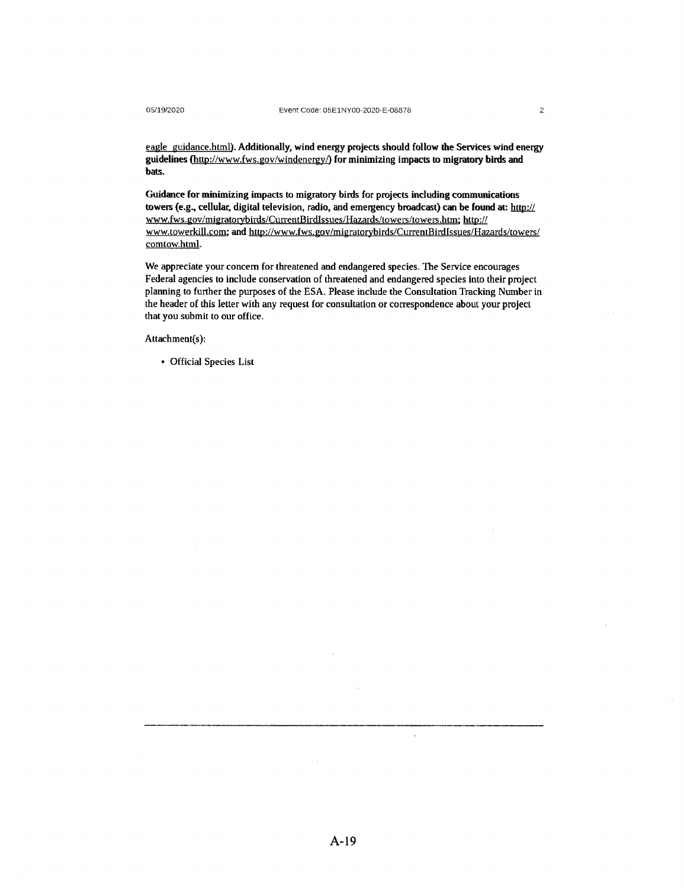eagle guidance.html).Additionally, **wind energy projects should follow the Services wind energy guidelines** {http://www.fws.gov/windenergy/) **for minimizing impacts to migratory birds and bats.** 

**Guidance for minimizing** impacts to migratory **birds** for **projects including communications towers (e,g., cellular, digital** television, radio, **and emergency broadcast) can be found at:** http:// www.fws.gov/migratorybirds/CurrentBirdIssues/Hazards/towers/towers.htm; http:// www.towerkill.com; and http://www.fws.gov/migratorybirds/CurrentBirdIssues/Hazards/towers/ comtow.html.

We appreciate your concern for threatened and endangered species. The Service encourages Federal agencies to include conservation of threatened and endangered species into their project planning to further the purposes of the ESA. Please include the Consultation Tracking Number in the header of this letter with any request for consultation or correspondence about your project that you submit to our office.

Attachment(s):

• Official Species List

 $\bar{\mathbf{v}}$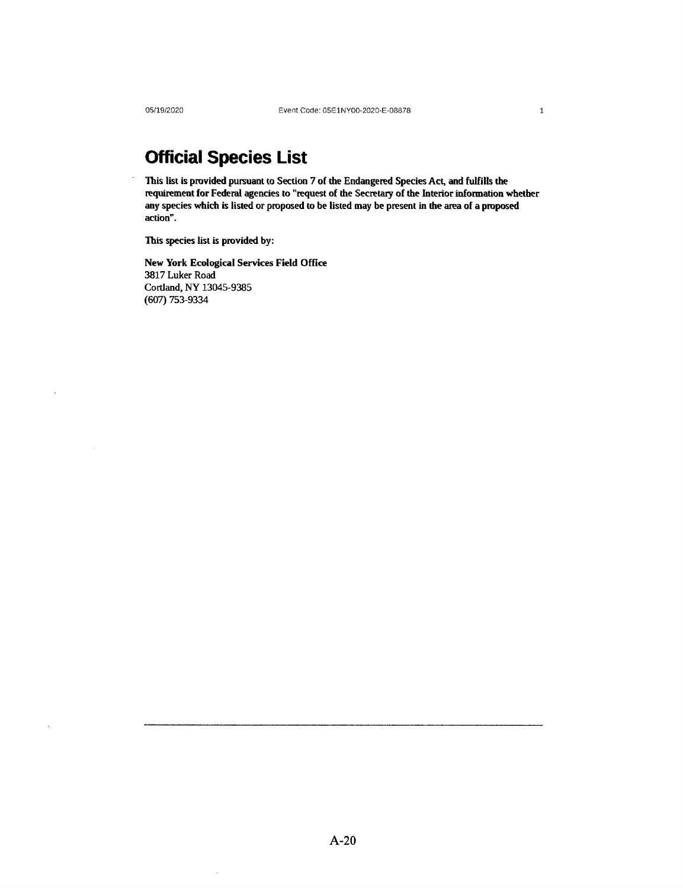$\ddot{\phantom{a}}$ 

# **Official Species List**

This list is provided pursuant to Section 7 of the Endangered Species Act, and fulfills the requirement for Federal agencies to "request of the Secretary of the Interior information whether any species which is listed or proposed to be listed may be present in the area of a proposed action".

This species list is provided by:

 $\ddot{\phantom{a}}$ 

New York Ecological Services Field Office 3817 Luker Road Cortland, NY 13045-9385 (607) 753-9334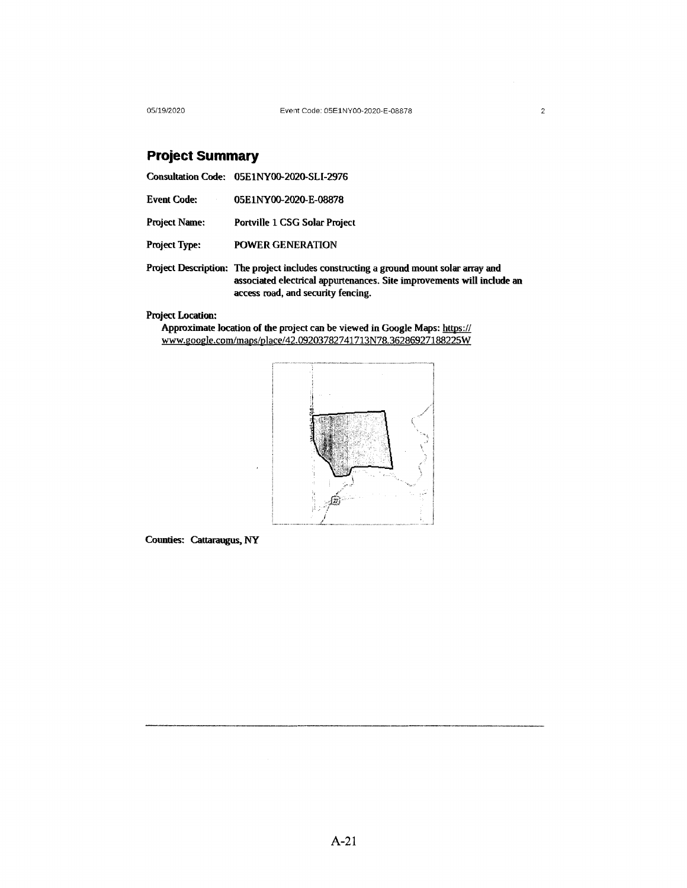05/19/2020 Event Code: 0SElNY00-2020-E-08878

## **Project Summary**

|                      | Consultation Code: 05E1NY00-2020-SLI-2976                                                                                                                                                             |
|----------------------|-------------------------------------------------------------------------------------------------------------------------------------------------------------------------------------------------------|
| <b>Event Code:</b>   | 05E1NY00-2020-E-08878                                                                                                                                                                                 |
| <b>Project Name:</b> | Portville 1 CSG Solar Project                                                                                                                                                                         |
| <b>Project Type:</b> | <b>POWER GENERATION</b>                                                                                                                                                                               |
|                      | Project Description: The project includes constructing a ground mount solar array and<br>associated electrical appurtenances. Site improvements will include an<br>access road, and security fencing. |

## Project Location:

Approximate location of the project can be viewed in Google Maps: https:// www.google.com/maps/place/42.09203782741713N78.36286927188225W



Counties: Cattaraugus, NY

2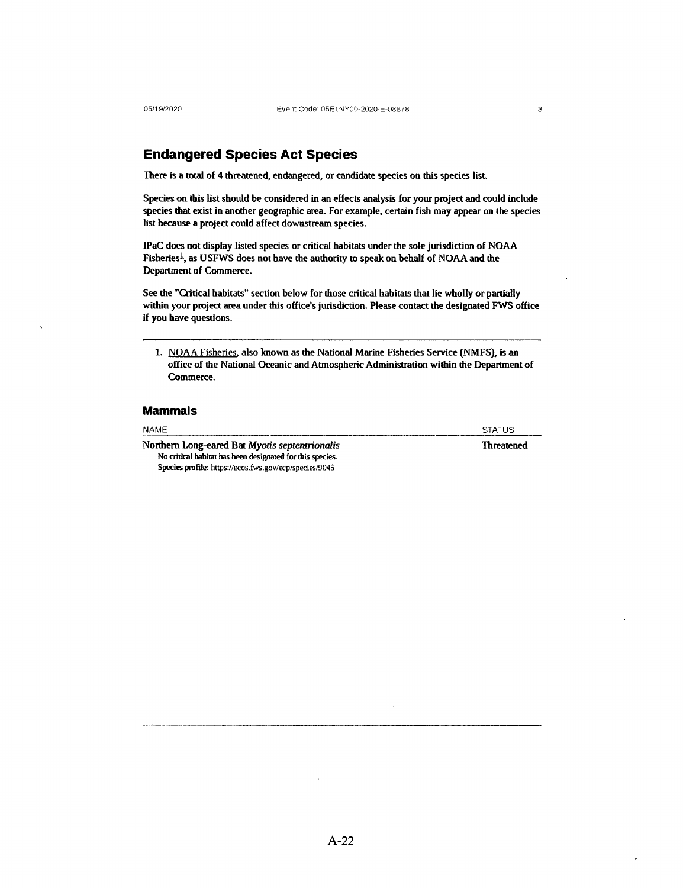## **Endangered Species Act Species**

There is a total of 4 threatened, endangered, or candidate species on this species list.

Species on this list should be considered in an effects analysis for your project and could include species that exist in another geographic area. For example, certain fish may appear on the species list because a project could affect downstream species.

IPaC does not display listed species or critical habitats under the sole jurisdiction of NOAA Fisheries<sup>1</sup>, as USFWS does not have the authority to speak on behalf of NOAA and the Department of Commerce.

See the "Critical habitats" section below for those critical habitats that lie wholly or partially within your project area under this office's jurisdiction. Please contact the designated FWS office if you have questions.

1. NOAA Fisheries. also known as the National Marine Fisheries Service (NMFS), is an office of the National Oceanic and Atmospheric Administration within the Department of Commerce.

### **Mammals**

| <b>NAME</b>                                                         | <b>STATUS</b> |
|---------------------------------------------------------------------|---------------|
| Northern Long-eared Bat Myotis septentrionalis<br><b>Threatened</b> |               |
| No critical habitat has been designated for this species.           |               |
| Species profile: https://ecos.fws.gov/ecp/species/9045              |               |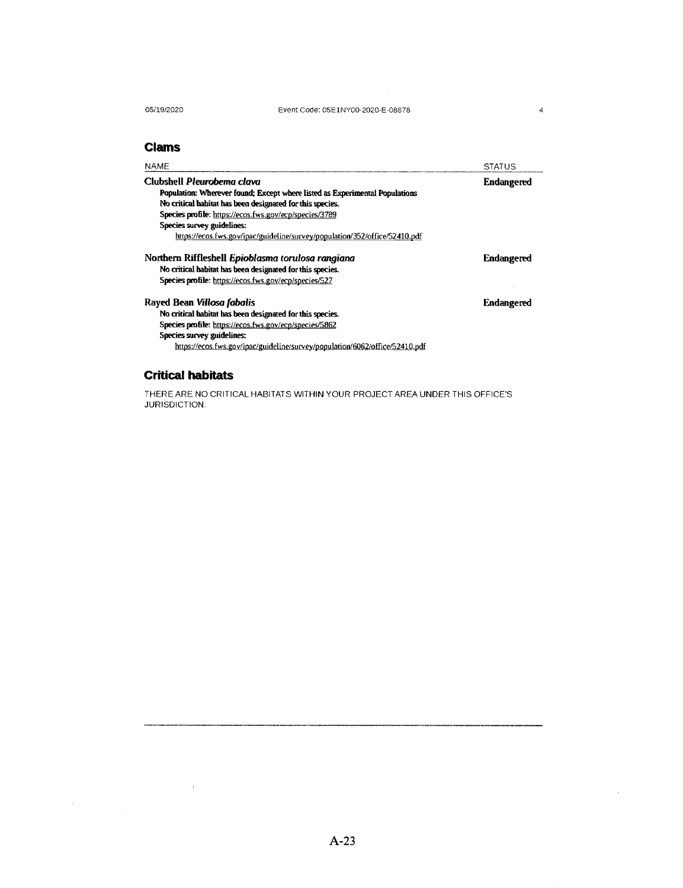05/19/2020

## **Clams**

| <b>NAME</b>                                                                                                                                                                                                                                                    | <b>STATUS</b>     |
|----------------------------------------------------------------------------------------------------------------------------------------------------------------------------------------------------------------------------------------------------------------|-------------------|
| Clubshell Pleurobema clava                                                                                                                                                                                                                                     | <b>Endangered</b> |
| Population: Wherever found; Except where listed as Experimental Populations                                                                                                                                                                                    |                   |
| No critical habitat has been designated for this species.                                                                                                                                                                                                      |                   |
| Species profile: https://ecos.fws.gov/ecp/species/3789                                                                                                                                                                                                         |                   |
| Species survey guidelines:                                                                                                                                                                                                                                     |                   |
| https://ecos.fws.gov/ipac/guideline/survey/population/352/office/52410.pdf                                                                                                                                                                                     |                   |
| Northern Riffleshell Epioblasma torulosa rangiana<br>No critical habitat has been designated for this species.<br>Species profile: https://ecos.fws.gov/ecp/species/527                                                                                        | <b>Endangered</b> |
| Rayed Bean Villosa fabalis<br>No critical habitat has been designated for this species.<br>Species profile: https://ecos.fws.gov/ecp/species/5862<br>Species survey guidelines:<br>https://ecos.fws.gov/ipac/guideline/survey/population/6062/office/52410.pdf | <b>Endangered</b> |

## **Critical habitats**

 $\mathcal{L}^{\text{max}}_{\text{max}}$  and  $\mathcal{L}^{\text{max}}_{\text{max}}$ 

THERE ARE NO CRITICAL HABITATS WITHIN YOUR PROJECT AREA UNDER THIS OFFICE'S JURISDICTION.

 $\mathcal{A}$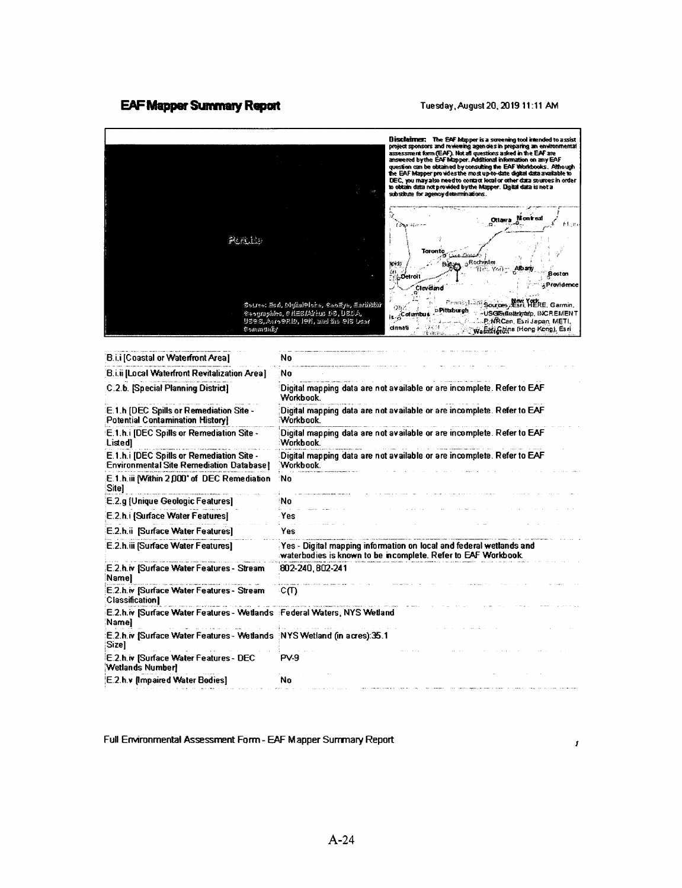### **EAF Mapper Summary Report Tuesday, August 20, 2019 11:11 AM**



Full Environmental Assessment Fonn- EAF Mapper Surrmary Report

*1*